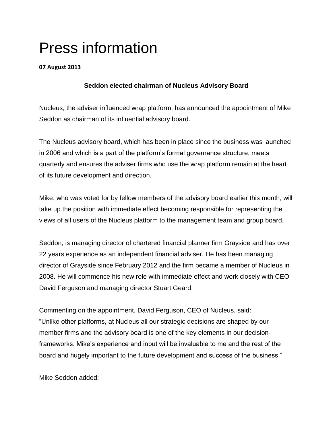## Press information

## **07 August 2013**

## **Seddon elected chairman of Nucleus Advisory Board**

Nucleus, the adviser influenced wrap platform, has announced the appointment of Mike Seddon as chairman of its influential advisory board.

The Nucleus advisory board, which has been in place since the business was launched in 2006 and which is a part of the platform's formal governance structure, meets quarterly and ensures the adviser firms who use the wrap platform remain at the heart of its future development and direction.

Mike, who was voted for by fellow members of the advisory board earlier this month, will take up the position with immediate effect becoming responsible for representing the views of all users of the Nucleus platform to the management team and group board.

Seddon, is managing director of chartered financial planner firm Grayside and has over 22 years experience as an independent financial adviser. He has been managing director of Grayside since February 2012 and the firm became a member of Nucleus in 2008. He will commence his new role with immediate effect and work closely with CEO David Ferguson and managing director Stuart Geard.

Commenting on the appointment, David Ferguson, CEO of Nucleus, said: "Unlike other platforms, at Nucleus all our strategic decisions are shaped by our member firms and the advisory board is one of the key elements in our decisionframeworks. Mike's experience and input will be invaluable to me and the rest of the board and hugely important to the future development and success of the business."

Mike Seddon added: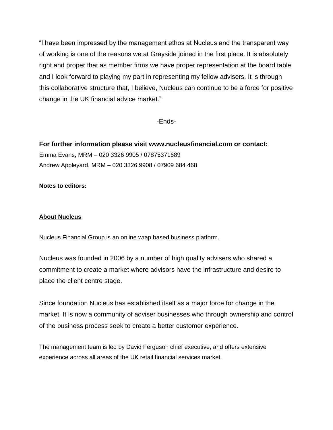"I have been impressed by the management ethos at Nucleus and the transparent way of working is one of the reasons we at Grayside joined in the first place. It is absolutely right and proper that as member firms we have proper representation at the board table and I look forward to playing my part in representing my fellow advisers. It is through this collaborative structure that, I believe, Nucleus can continue to be a force for positive change in the UK financial advice market."

-Ends-

**For further information please visit www.nucleusfinancial.com or contact:** Emma Evans, MRM – 020 3326 9905 / 07875371689 Andrew Appleyard, MRM – 020 3326 9908 / 07909 684 468

**Notes to editors:**

## **About Nucleus**

Nucleus Financial Group is an online wrap based business platform.

Nucleus was founded in 2006 by a number of high quality advisers who shared a commitment to create a market where advisors have the infrastructure and desire to place the client centre stage.

Since foundation Nucleus has established itself as a major force for change in the market. It is now a community of adviser businesses who through ownership and control of the business process seek to create a better customer experience.

The management team is led by David Ferguson chief executive, and offers extensive experience across all areas of the UK retail financial services market.